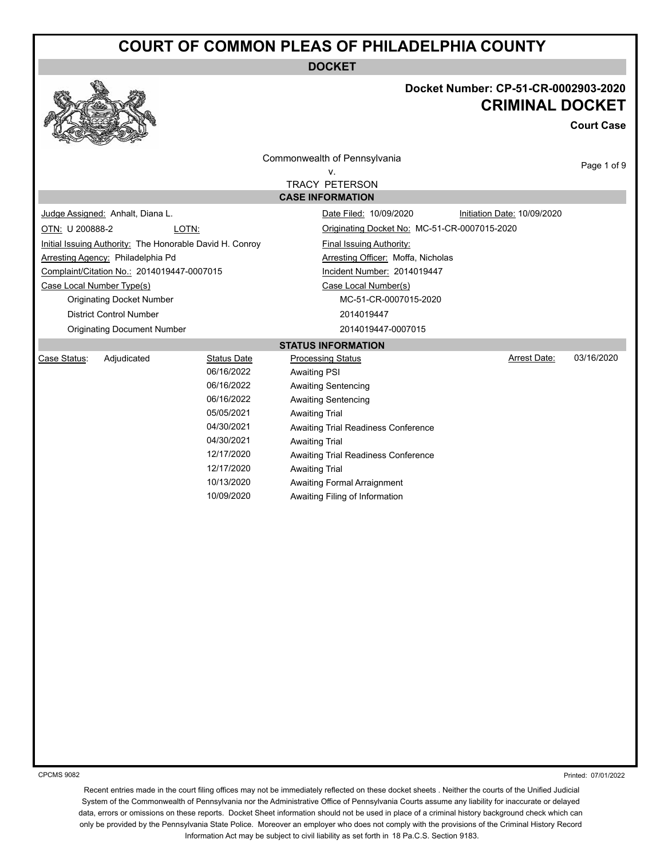**DOCKET**



### **Docket Number: CP-51-CR-0002903-2020 CRIMINAL DOCKET**

**Court Case**

|                 |                                                          |                    | Commonwealth of Pennsylvania                 |                             | Page 1 of 9 |  |  |
|-----------------|----------------------------------------------------------|--------------------|----------------------------------------------|-----------------------------|-------------|--|--|
|                 | v.                                                       |                    |                                              |                             |             |  |  |
|                 |                                                          |                    | <b>TRACY PETERSON</b>                        |                             |             |  |  |
|                 |                                                          |                    | <b>CASE INFORMATION</b>                      |                             |             |  |  |
|                 | Judge Assigned: Anhalt, Diana L.                         |                    | Date Filed: 10/09/2020                       | Initiation Date: 10/09/2020 |             |  |  |
| OTN: U 200888-2 |                                                          | LOTN:              | Originating Docket No: MC-51-CR-0007015-2020 |                             |             |  |  |
|                 | Initial Issuing Authority: The Honorable David H. Conroy |                    | Final Issuing Authority:                     |                             |             |  |  |
|                 | Arresting Agency: Philadelphia Pd                        |                    | Arresting Officer: Moffa, Nicholas           |                             |             |  |  |
|                 | Complaint/Citation No.: 2014019447-0007015               |                    | Incident Number: 2014019447                  |                             |             |  |  |
|                 | Case Local Number Type(s)                                |                    | Case Local Number(s)                         |                             |             |  |  |
|                 | <b>Originating Docket Number</b>                         |                    | MC-51-CR-0007015-2020                        |                             |             |  |  |
|                 | <b>District Control Number</b>                           |                    | 2014019447                                   |                             |             |  |  |
|                 | <b>Originating Document Number</b>                       |                    | 2014019447-0007015                           |                             |             |  |  |
|                 |                                                          |                    | <b>STATUS INFORMATION</b>                    |                             |             |  |  |
| Case Status:    | Adjudicated                                              | <b>Status Date</b> | <b>Processing Status</b>                     | <b>Arrest Date:</b>         | 03/16/2020  |  |  |
|                 |                                                          | 06/16/2022         | <b>Awaiting PSI</b>                          |                             |             |  |  |
|                 |                                                          | 06/16/2022         | <b>Awaiting Sentencing</b>                   |                             |             |  |  |
|                 |                                                          | 06/16/2022         | <b>Awaiting Sentencing</b>                   |                             |             |  |  |
|                 |                                                          | 05/05/2021         | <b>Awaiting Trial</b>                        |                             |             |  |  |
|                 |                                                          | 04/30/2021         | Awaiting Trial Readiness Conference          |                             |             |  |  |
|                 |                                                          | 04/30/2021         | <b>Awaiting Trial</b>                        |                             |             |  |  |
|                 |                                                          | 12/17/2020         | Awaiting Trial Readiness Conference          |                             |             |  |  |
|                 |                                                          | 12/17/2020         | <b>Awaiting Trial</b>                        |                             |             |  |  |
|                 |                                                          | 10/13/2020         | <b>Awaiting Formal Arraignment</b>           |                             |             |  |  |
|                 |                                                          | 10/09/2020         | Awaiting Filing of Information               |                             |             |  |  |
|                 |                                                          |                    |                                              |                             |             |  |  |
|                 |                                                          |                    |                                              |                             |             |  |  |
|                 |                                                          |                    |                                              |                             |             |  |  |
|                 |                                                          |                    |                                              |                             |             |  |  |
|                 |                                                          |                    |                                              |                             |             |  |  |
|                 |                                                          |                    |                                              |                             |             |  |  |
|                 |                                                          |                    |                                              |                             |             |  |  |
|                 |                                                          |                    |                                              |                             |             |  |  |
|                 |                                                          |                    |                                              |                             |             |  |  |
|                 |                                                          |                    |                                              |                             |             |  |  |
|                 |                                                          |                    |                                              |                             |             |  |  |
|                 |                                                          |                    |                                              |                             |             |  |  |
|                 |                                                          |                    |                                              |                             |             |  |  |
|                 |                                                          |                    |                                              |                             |             |  |  |

CPCMS 9082

Printed: 07/01/2022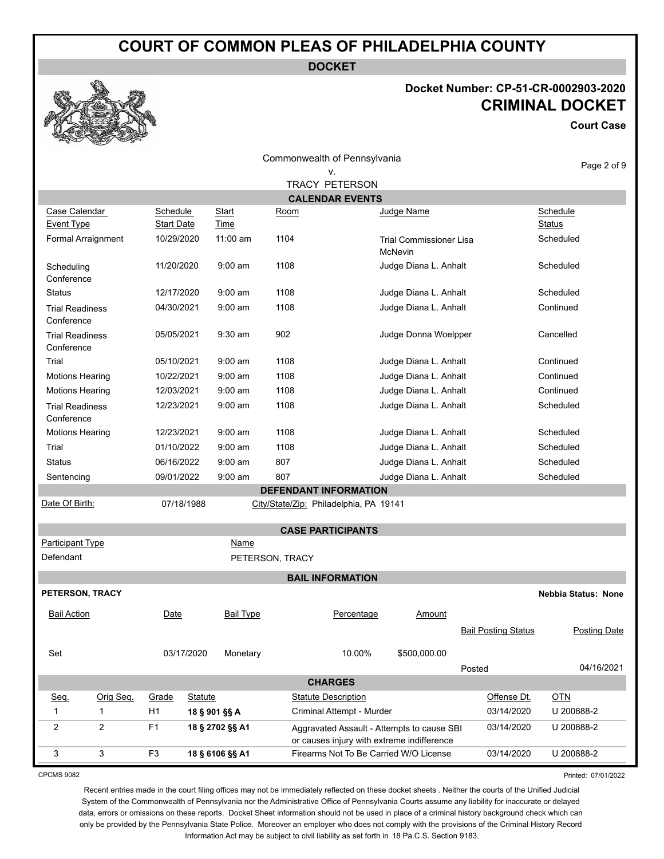**DOCKET**

Commonwealth of Pennsylvania

### **Docket Number: CP-51-CR-0002903-2020 CRIMINAL DOCKET**

**Court Case**

|                                      |                               |                |                      |                 | Commonwealth of Pennsylvania                                                             |                                           |  |                            |                           | Page 2 of 9         |
|--------------------------------------|-------------------------------|----------------|----------------------|-----------------|------------------------------------------------------------------------------------------|-------------------------------------------|--|----------------------------|---------------------------|---------------------|
|                                      |                               |                |                      |                 | v.<br><b>TRACY PETERSON</b>                                                              |                                           |  |                            |                           |                     |
|                                      |                               |                |                      |                 | <b>CALENDAR EVENTS</b>                                                                   |                                           |  |                            |                           |                     |
| Case Calendar<br><b>Event Type</b>   | Schedule<br><b>Start Date</b> |                | Start<br><b>Time</b> | <u>Room</u>     |                                                                                          | Judge Name                                |  |                            | Schedule<br><b>Status</b> |                     |
| Formal Arraignment                   | 10/29/2020                    |                | $11:00$ am           | 1104            |                                                                                          | <b>Trial Commissioner Lisa</b><br>McNevin |  |                            | Scheduled                 |                     |
| Scheduling<br>Conference             | 11/20/2020                    |                | $9:00$ am            | 1108            |                                                                                          | Judge Diana L. Anhalt                     |  |                            | Scheduled                 |                     |
| <b>Status</b>                        | 12/17/2020                    |                | $9:00$ am            | 1108            |                                                                                          | Judge Diana L. Anhalt                     |  |                            | Scheduled                 |                     |
| <b>Trial Readiness</b><br>Conference | 04/30/2021                    |                | $9:00$ am            | 1108            |                                                                                          | Judge Diana L. Anhalt                     |  |                            | Continued                 |                     |
| <b>Trial Readiness</b><br>Conference | 05/05/2021                    |                | $9:30$ am            | 902             |                                                                                          | Judge Donna Woelpper                      |  |                            | Cancelled                 |                     |
| Trial                                | 05/10/2021                    |                | $9:00$ am            | 1108            |                                                                                          | Judge Diana L. Anhalt                     |  |                            | Continued                 |                     |
| <b>Motions Hearing</b>               | 10/22/2021                    |                | $9:00$ am            | 1108            |                                                                                          | Judge Diana L. Anhalt                     |  |                            | Continued                 |                     |
| <b>Motions Hearing</b>               | 12/03/2021                    |                | $9:00$ am            | 1108            |                                                                                          | Judge Diana L. Anhalt                     |  |                            | Continued                 |                     |
| <b>Trial Readiness</b><br>Conference | 12/23/2021                    |                | $9:00$ am            | 1108            |                                                                                          | Judge Diana L. Anhalt                     |  |                            | Scheduled                 |                     |
| <b>Motions Hearing</b>               | 12/23/2021                    |                | $9:00$ am            | 1108            |                                                                                          | Judge Diana L. Anhalt                     |  |                            | Scheduled                 |                     |
| Trial                                | 01/10/2022                    |                | $9:00$ am            | 1108            |                                                                                          | Judge Diana L. Anhalt                     |  |                            | Scheduled                 |                     |
| <b>Status</b>                        | 06/16/2022                    |                | $9:00$ am            | 807             |                                                                                          | Judge Diana L. Anhalt                     |  |                            | Scheduled                 |                     |
| Sentencing                           | 09/01/2022                    |                | $9:00$ am            | 807             |                                                                                          | Judge Diana L. Anhalt                     |  |                            | Scheduled                 |                     |
|                                      |                               |                |                      |                 | <b>DEFENDANT INFORMATION</b>                                                             |                                           |  |                            |                           |                     |
| Date Of Birth:                       |                               | 07/18/1988     |                      |                 | City/State/Zip: Philadelphia, PA 19141                                                   |                                           |  |                            |                           |                     |
|                                      |                               |                |                      |                 | <b>CASE PARTICIPANTS</b>                                                                 |                                           |  |                            |                           |                     |
| <b>Participant Type</b>              |                               |                | <b>Name</b>          |                 |                                                                                          |                                           |  |                            |                           |                     |
| Defendant                            |                               |                |                      | PETERSON, TRACY |                                                                                          |                                           |  |                            |                           |                     |
|                                      |                               |                |                      |                 | <b>BAIL INFORMATION</b>                                                                  |                                           |  |                            |                           |                     |
| PETERSON, TRACY                      |                               |                |                      |                 |                                                                                          |                                           |  |                            | Nebbia Status: None       |                     |
|                                      |                               |                |                      |                 |                                                                                          |                                           |  |                            |                           |                     |
| <b>Bail Action</b>                   | Date                          |                | <b>Bail Type</b>     |                 | Percentage                                                                               | Amount                                    |  | <b>Bail Posting Status</b> |                           | <b>Posting Date</b> |
| Set                                  |                               | 03/17/2020     | Monetary             |                 | 10.00%                                                                                   | \$500,000.00                              |  | Posted                     |                           | 04/16/2021          |
|                                      |                               |                |                      |                 | <b>CHARGES</b>                                                                           |                                           |  |                            |                           |                     |
| Orig Seq.<br>Seq.                    | Grade                         | <b>Statute</b> |                      |                 | <b>Statute Description</b>                                                               |                                           |  | Offense Dt.                | $OTN$                     |                     |
| $\mathbf{1}$<br>$\mathbf{1}$         | H1                            | 18 § 901 §§ A  |                      |                 | Criminal Attempt - Murder                                                                |                                           |  | 03/14/2020                 | U 200888-2                |                     |
| 2<br>2                               | F <sub>1</sub>                |                | 18 § 2702 §§ A1      |                 | Aggravated Assault - Attempts to cause SBI<br>or causes injury with extreme indifference |                                           |  | 03/14/2020                 | U 200888-2                |                     |
| 3<br>3                               | F <sub>3</sub>                |                | 18 § 6106 §§ A1      |                 | Firearms Not To Be Carried W/O License                                                   |                                           |  | 03/14/2020                 | U 200888-2                |                     |

CPCMS 9082

Printed: 07/01/2022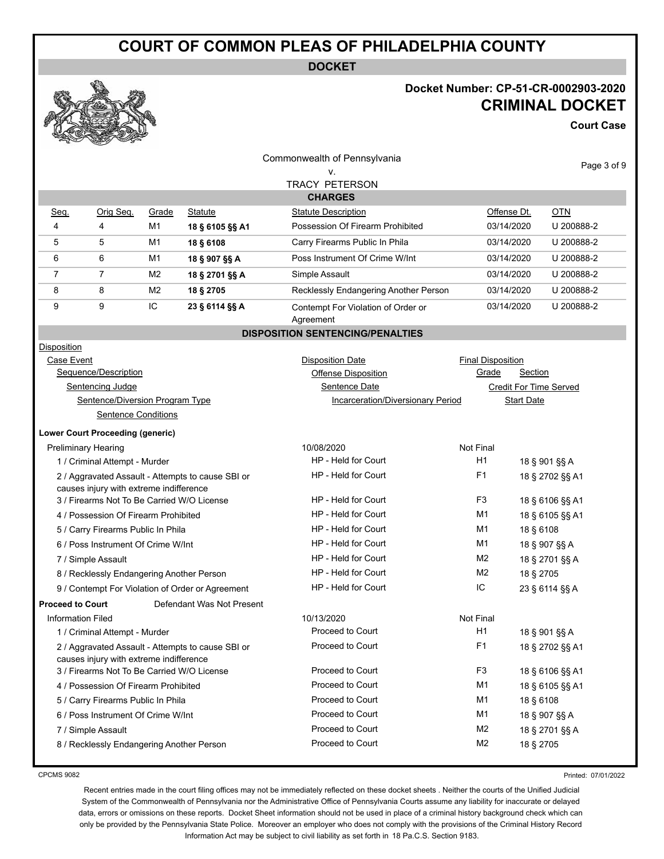**DOCKET**

### **Docket Number: CP-51-CR-0002903-2020 CRIMINAL DOCKET**

**Court Case**

| n                                                 | <b>REAL PROPERTY</b><br><b>Contraction</b>                                            |                     |                                                   |                                                 |                          |                   |                               |
|---------------------------------------------------|---------------------------------------------------------------------------------------|---------------------|---------------------------------------------------|-------------------------------------------------|--------------------------|-------------------|-------------------------------|
|                                                   |                                                                                       |                     |                                                   | Commonwealth of Pennsylvania                    |                          |                   | Page 3 of 9                   |
|                                                   |                                                                                       |                     |                                                   | ٧.                                              |                          |                   |                               |
|                                                   |                                                                                       |                     |                                                   | <b>TRACY PETERSON</b>                           |                          |                   |                               |
|                                                   |                                                                                       |                     |                                                   | <b>CHARGES</b>                                  |                          |                   |                               |
| Seq.                                              | Orig Seg.                                                                             | Grade               | Statute                                           | <b>Statute Description</b>                      |                          | Offense Dt.       | <b>OTN</b>                    |
| 4                                                 | 4                                                                                     | M1                  | 18 § 6105 §§ A1                                   | Possession Of Firearm Prohibited                |                          | 03/14/2020        | U 200888-2                    |
| 5                                                 | 5                                                                                     | M1                  | 18 § 6108                                         | Carry Firearms Public In Phila                  |                          | 03/14/2020        | U 200888-2                    |
| 6                                                 | 6                                                                                     | M1                  | 18 § 907 §§ A                                     | Poss Instrument Of Crime W/Int                  |                          | 03/14/2020        | U 200888-2                    |
| 7                                                 | $\overline{7}$                                                                        | M <sub>2</sub>      | 18 § 2701 §§ A                                    | Simple Assault                                  |                          | 03/14/2020        | U 200888-2                    |
| 8                                                 | 8                                                                                     | M <sub>2</sub>      | 18 § 2705                                         | Recklessly Endangering Another Person           |                          | 03/14/2020        | U 200888-2                    |
| 9                                                 | 9                                                                                     | IC                  | 23 § 6114 §§ A                                    | Contempt For Violation of Order or<br>Agreement |                          | 03/14/2020        | U 200888-2                    |
|                                                   |                                                                                       |                     |                                                   | <b>DISPOSITION SENTENCING/PENALTIES</b>         |                          |                   |                               |
| Disposition                                       |                                                                                       |                     |                                                   |                                                 |                          |                   |                               |
| Case Event                                        |                                                                                       |                     |                                                   | <b>Disposition Date</b>                         | <b>Final Disposition</b> |                   |                               |
|                                                   | Sequence/Description                                                                  |                     |                                                   | <b>Offense Disposition</b>                      | Grade                    | Section           |                               |
|                                                   | <b>Sentencing Judge</b>                                                               |                     |                                                   | Sentence Date                                   |                          |                   | <b>Credit For Time Served</b> |
|                                                   | Sentence/Diversion Program Type                                                       |                     |                                                   | Incarceration/Diversionary Period               |                          | <b>Start Date</b> |                               |
|                                                   | <b>Sentence Conditions</b>                                                            |                     |                                                   |                                                 |                          |                   |                               |
|                                                   | <b>Lower Court Proceeding (generic)</b>                                               |                     |                                                   |                                                 |                          |                   |                               |
|                                                   | <b>Preliminary Hearing</b>                                                            |                     |                                                   | 10/08/2020                                      | <b>Not Final</b>         |                   |                               |
| 1 / Criminal Attempt - Murder                     |                                                                                       |                     |                                                   | HP - Held for Court                             | H1                       |                   | 18 § 901 §§ A                 |
| 2 / Aggravated Assault - Attempts to cause SBI or |                                                                                       | HP - Held for Court | F <sub>1</sub>                                    |                                                 | 18 § 2702 §§ A1          |                   |                               |
|                                                   | causes injury with extreme indifference                                               |                     |                                                   | HP - Held for Court                             | F3                       |                   |                               |
|                                                   | 3 / Firearms Not To Be Carried W/O License                                            |                     |                                                   | HP - Held for Court                             | M1                       | 18 § 6106 §§ A1   |                               |
|                                                   | 4 / Possession Of Firearm Prohibited                                                  |                     |                                                   |                                                 |                          | 18 § 6105 §§ A1   |                               |
|                                                   | 5 / Carry Firearms Public In Phila                                                    |                     |                                                   | HP - Held for Court                             |                          | M1<br>18 § 6108   |                               |
|                                                   | 6 / Poss Instrument Of Crime W/Int                                                    |                     |                                                   | HP - Held for Court                             | M1                       | 18 § 907 §§ A     |                               |
|                                                   | 7 / Simple Assault                                                                    |                     |                                                   | HP - Held for Court                             | M2<br>18 § 2701 §§ A     |                   |                               |
|                                                   | 8 / Recklessly Endangering Another Person                                             |                     |                                                   | HP - Held for Court                             | M <sub>2</sub>           | 18 § 2705         |                               |
|                                                   |                                                                                       |                     | 9 / Contempt For Violation of Order or Agreement  | HP - Held for Court                             | IC                       |                   | 23 § 6114 §§ A                |
| <b>Proceed to Court</b>                           |                                                                                       |                     | Defendant Was Not Present                         |                                                 |                          |                   |                               |
| <b>Information Filed</b>                          |                                                                                       |                     |                                                   | 10/13/2020                                      | Not Final                |                   |                               |
|                                                   | 1 / Criminal Attempt - Murder                                                         |                     |                                                   | Proceed to Court                                | H1                       |                   | 18 § 901 §§ A                 |
|                                                   |                                                                                       |                     | 2 / Aggravated Assault - Attempts to cause SBI or | Proceed to Court                                | F <sub>1</sub>           |                   | 18 § 2702 §§ A1               |
|                                                   | causes injury with extreme indifference<br>3 / Firearms Not To Be Carried W/O License |                     |                                                   | Proceed to Court                                | F <sub>3</sub>           |                   |                               |
|                                                   |                                                                                       |                     |                                                   | Proceed to Court                                | M <sub>1</sub>           |                   | 18 § 6106 §§ A1               |
|                                                   | 4 / Possession Of Firearm Prohibited                                                  |                     |                                                   | Proceed to Court                                |                          |                   | 18 § 6105 §§ A1               |
|                                                   | 5 / Carry Firearms Public In Phila                                                    |                     |                                                   |                                                 | M1                       | 18 § 6108         |                               |
|                                                   | 6 / Poss Instrument Of Crime W/Int                                                    |                     |                                                   | Proceed to Court                                | M <sub>1</sub>           |                   | 18 § 907 §§ A                 |
|                                                   | 7 / Simple Assault                                                                    |                     |                                                   | Proceed to Court                                | M <sub>2</sub>           |                   | 18 § 2701 §§ A                |
|                                                   | 8 / Recklessly Endangering Another Person                                             |                     |                                                   | Proceed to Court                                | M <sub>2</sub>           | 18 § 2705         |                               |

CPCMS 9082

Printed: 07/01/2022

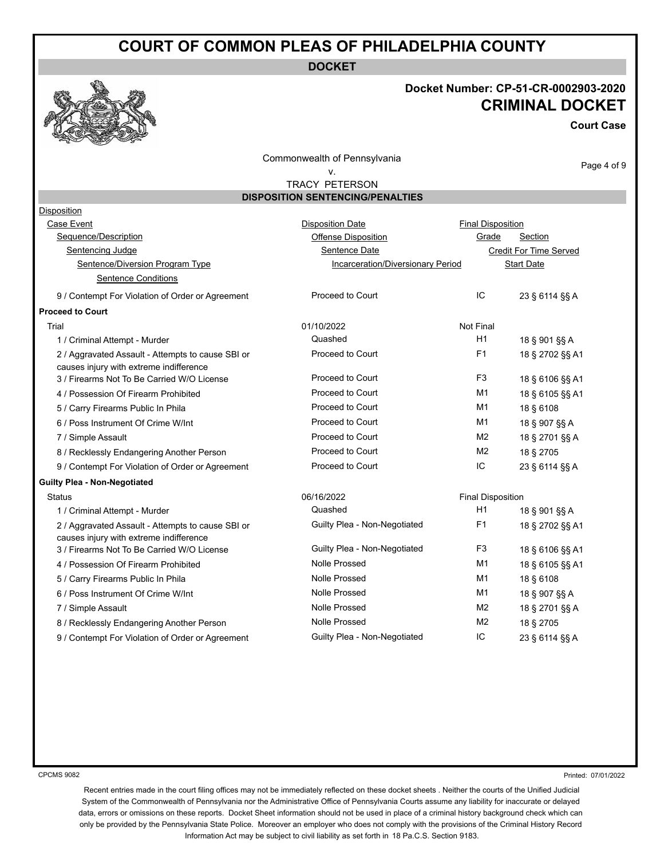**DOCKET**

CPCMS 9082

### **Docket Number: CP-51-CR-0002903-2020 CRIMINAL DOCKET**

**Court Case**

Commonwealth of Pennsylvania

### v.

Page 4 of 9

TRACY PETERSON **DISPOSITION SENTENCING/PENALTIES**

| Disposition                                                                                  |                                   |                          |                               |
|----------------------------------------------------------------------------------------------|-----------------------------------|--------------------------|-------------------------------|
| Case Event                                                                                   | <b>Disposition Date</b>           | <b>Final Disposition</b> |                               |
| Sequence/Description                                                                         | <b>Offense Disposition</b>        | Grade                    | Section                       |
| Sentencing Judge                                                                             | Sentence Date                     |                          | <b>Credit For Time Served</b> |
| Sentence/Diversion Program Type                                                              | Incarceration/Diversionary Period |                          | <b>Start Date</b>             |
| <b>Sentence Conditions</b>                                                                   |                                   |                          |                               |
| 9 / Contempt For Violation of Order or Agreement                                             | Proceed to Court                  | IC                       | 23 § 6114 §§ A                |
| <b>Proceed to Court</b>                                                                      |                                   |                          |                               |
| Trial                                                                                        | 01/10/2022                        | Not Final                |                               |
| 1 / Criminal Attempt - Murder                                                                | Quashed                           | H1                       | 18 § 901 §§ A                 |
| 2 / Aggravated Assault - Attempts to cause SBI or<br>causes injury with extreme indifference | Proceed to Court                  | F <sub>1</sub>           | 18 § 2702 §§ A1               |
| 3 / Firearms Not To Be Carried W/O License                                                   | Proceed to Court                  | F <sub>3</sub>           | 18 § 6106 §§ A1               |
| 4 / Possession Of Firearm Prohibited                                                         | Proceed to Court                  | M1                       | 18 § 6105 §§ A1               |
| 5 / Carry Firearms Public In Phila                                                           | Proceed to Court                  | M1                       | 18 § 6108                     |
| 6 / Poss Instrument Of Crime W/Int                                                           | Proceed to Court                  | M <sub>1</sub>           | 18 § 907 §§ A                 |
| 7 / Simple Assault                                                                           | Proceed to Court                  | M <sub>2</sub>           | 18 § 2701 §§ A                |
| 8 / Recklessly Endangering Another Person                                                    | Proceed to Court                  | M <sub>2</sub>           | 18 § 2705                     |
| 9 / Contempt For Violation of Order or Agreement                                             | Proceed to Court                  | IC                       | 23 § 6114 §§ A                |
| <b>Guilty Plea - Non-Negotiated</b>                                                          |                                   |                          |                               |
| <b>Status</b>                                                                                | 06/16/2022                        | <b>Final Disposition</b> |                               |
| 1 / Criminal Attempt - Murder                                                                | Quashed                           | H1                       | 18 § 901 §§ A                 |
| 2 / Aggravated Assault - Attempts to cause SBI or<br>causes injury with extreme indifference | Guilty Plea - Non-Negotiated      | F1                       | 18 § 2702 §§ A1               |
| 3 / Firearms Not To Be Carried W/O License                                                   | Guilty Plea - Non-Negotiated      | F <sub>3</sub>           | 18 § 6106 §§ A1               |
| 4 / Possession Of Firearm Prohibited                                                         | <b>Nolle Prossed</b>              | M1                       | 18 § 6105 §§ A1               |
| 5 / Carry Firearms Public In Phila                                                           | <b>Nolle Prossed</b>              | M1                       | 18 § 6108                     |
| 6 / Poss Instrument Of Crime W/Int                                                           | <b>Nolle Prossed</b>              | M1                       | 18 § 907 §§ A                 |
| 7 / Simple Assault                                                                           | <b>Nolle Prossed</b>              | M <sub>2</sub>           | 18 § 2701 §§ A                |
| 8 / Recklessly Endangering Another Person                                                    | <b>Nolle Prossed</b>              | M <sub>2</sub>           | 18 § 2705                     |
| 9 / Contempt For Violation of Order or Agreement                                             | Guilty Plea - Non-Negotiated      | IC                       | 23 § 6114 §§ A                |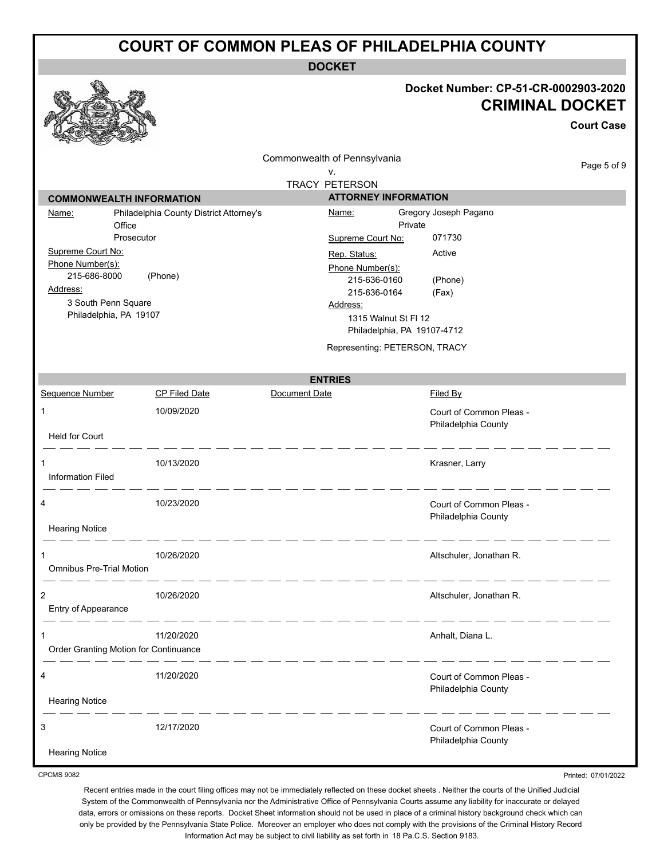**DOCKET**

# **Docket Number: CP-51-CR-0002903-2020**

|                                       |                                         |                                                      |                                                | <b>CRIMINAL DOCKET</b> |
|---------------------------------------|-----------------------------------------|------------------------------------------------------|------------------------------------------------|------------------------|
|                                       |                                         |                                                      |                                                | <b>Court Case</b>      |
|                                       |                                         | Commonwealth of Pennsylvania<br>٧.                   |                                                | Page 5 of 9            |
|                                       |                                         | <b>TRACY PETERSON</b><br><b>ATTORNEY INFORMATION</b> |                                                |                        |
| <b>COMMONWEALTH INFORMATION</b>       |                                         | Name:                                                | Gregory Joseph Pagano                          |                        |
| Name:<br>Office                       | Philadelphia County District Attorney's |                                                      | Private                                        |                        |
|                                       | Prosecutor                              | Supreme Court No:                                    | 071730                                         |                        |
| Supreme Court No:                     |                                         | Rep. Status:                                         | Active                                         |                        |
| Phone Number(s):                      |                                         | Phone Number(s):                                     |                                                |                        |
| 215-686-8000                          | (Phone)                                 | 215-636-0160                                         | (Phone)                                        |                        |
| Address:                              |                                         | 215-636-0164                                         | (Fax)                                          |                        |
| 3 South Penn Square                   |                                         | Address:                                             |                                                |                        |
| Philadelphia, PA 19107                |                                         | 1315 Walnut St Fl 12                                 |                                                |                        |
|                                       |                                         |                                                      | Philadelphia, PA 19107-4712                    |                        |
|                                       |                                         |                                                      | Representing: PETERSON, TRACY                  |                        |
|                                       |                                         | <b>ENTRIES</b>                                       |                                                |                        |
| <b>Sequence Number</b>                | CP Filed Date                           | Document Date                                        | Filed By                                       |                        |
| 1                                     | 10/09/2020                              |                                                      | Court of Common Pleas -<br>Philadelphia County |                        |
| <b>Held for Court</b>                 |                                         |                                                      |                                                |                        |
|                                       | 10/13/2020                              |                                                      | Krasner, Larry                                 |                        |
| <b>Information Filed</b>              |                                         |                                                      |                                                |                        |
| 4                                     | 10/23/2020                              |                                                      | Court of Common Pleas -                        |                        |
|                                       |                                         |                                                      | Philadelphia County                            |                        |
| <b>Hearing Notice</b>                 |                                         |                                                      |                                                |                        |
|                                       | 10/26/2020                              |                                                      | Altschuler, Jonathan R.                        |                        |
| <b>Omnibus Pre-Trial Motion</b>       |                                         |                                                      |                                                |                        |
| 2                                     | 10/26/2020                              |                                                      | Altschuler, Jonathan R.                        |                        |
| Entry of Appearance                   |                                         |                                                      |                                                |                        |
| 1                                     | 11/20/2020                              |                                                      | Anhalt, Diana L.                               |                        |
| Order Granting Motion for Continuance |                                         |                                                      |                                                |                        |
| 4                                     | 11/20/2020                              |                                                      | Court of Common Pleas -                        |                        |
| <b>Hearing Notice</b>                 |                                         |                                                      | Philadelphia County                            |                        |
| 3                                     | 12/17/2020                              |                                                      | Court of Common Pleas -                        |                        |
|                                       |                                         |                                                      | Philadelphia County                            |                        |
| <b>Hearing Notice</b>                 |                                         |                                                      |                                                |                        |

CPCMS 9082

**A** 

Printed: 07/01/2022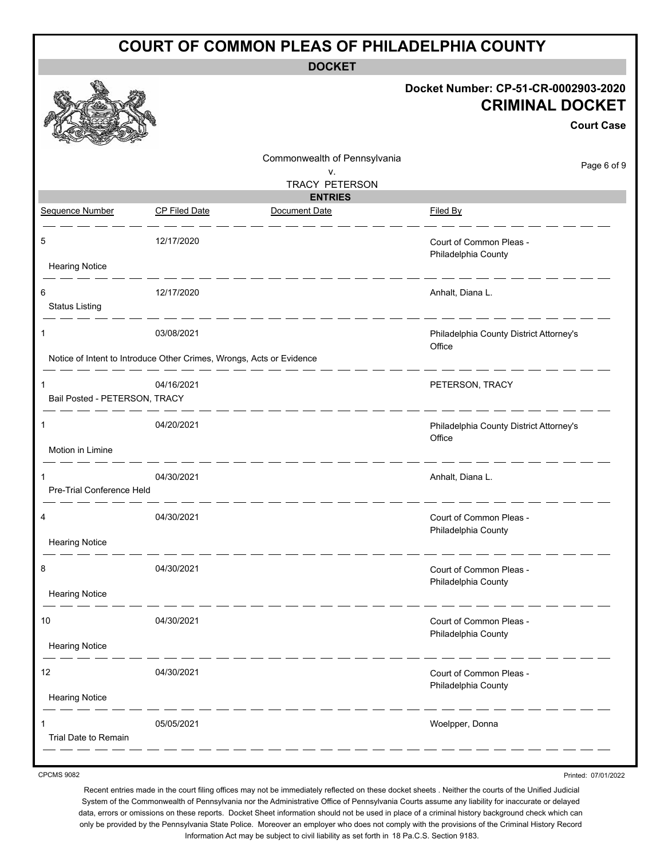|                                    | <b>COURT OF COMMON PLEAS OF PHILADELPHIA COUNTY</b>                  |                              |                                                                                     |  |  |  |
|------------------------------------|----------------------------------------------------------------------|------------------------------|-------------------------------------------------------------------------------------|--|--|--|
|                                    |                                                                      | <b>DOCKET</b>                |                                                                                     |  |  |  |
|                                    |                                                                      |                              | Docket Number: CP-51-CR-0002903-2020<br><b>CRIMINAL DOCKET</b><br><b>Court Case</b> |  |  |  |
|                                    |                                                                      | Commonwealth of Pennsylvania | Page 6 of 9                                                                         |  |  |  |
|                                    |                                                                      | V.<br>TRACY PETERSON         |                                                                                     |  |  |  |
|                                    |                                                                      | <b>ENTRIES</b>               |                                                                                     |  |  |  |
| Sequence Number                    | <b>CP Filed Date</b>                                                 | Document Date                | Filed By                                                                            |  |  |  |
| 5                                  | 12/17/2020                                                           |                              | Court of Common Pleas -<br>Philadelphia County                                      |  |  |  |
| <b>Hearing Notice</b>              |                                                                      |                              |                                                                                     |  |  |  |
| 6<br><b>Status Listing</b>         | 12/17/2020<br>_ __ __ __ __                                          |                              | Anhalt, Diana L.                                                                    |  |  |  |
| 1                                  | 03/08/2021                                                           |                              | Philadelphia County District Attorney's<br>Office                                   |  |  |  |
|                                    | Notice of Intent to Introduce Other Crimes, Wrongs, Acts or Evidence |                              |                                                                                     |  |  |  |
| 1<br>Bail Posted - PETERSON, TRACY | 04/16/2021                                                           |                              | PETERSON, TRACY                                                                     |  |  |  |
| 1                                  | 04/20/2021                                                           |                              | Philadelphia County District Attorney's<br>Office                                   |  |  |  |
| Motion in Limine                   |                                                                      |                              |                                                                                     |  |  |  |
| Pre-Trial Conference Held          | 04/30/2021                                                           |                              | Anhalt, Diana L.                                                                    |  |  |  |
|                                    | 04/30/2021                                                           |                              | Court of Common Pleas -<br>Philadelphia County                                      |  |  |  |
| <b>Hearing Notice</b>              |                                                                      |                              |                                                                                     |  |  |  |
| 8                                  | 04/30/2021                                                           |                              | Court of Common Pleas -<br>Philadelphia County                                      |  |  |  |
| <b>Hearing Notice</b>              |                                                                      |                              |                                                                                     |  |  |  |
| 10                                 | 04/30/2021                                                           |                              | Court of Common Pleas -<br>Philadelphia County                                      |  |  |  |
| <b>Hearing Notice</b>              |                                                                      |                              |                                                                                     |  |  |  |
| 12                                 | 04/30/2021                                                           |                              | Court of Common Pleas -<br>Philadelphia County                                      |  |  |  |
| <b>Hearing Notice</b>              |                                                                      |                              |                                                                                     |  |  |  |
|                                    | 05/05/2021                                                           |                              | Woelpper, Donna                                                                     |  |  |  |
| Trial Date to Remain               |                                                                      |                              |                                                                                     |  |  |  |

CPCMS 9082

Recent entries made in the court filing offices may not be immediately reflected on these docket sheets . Neither the courts of the Unified Judicial System of the Commonwealth of Pennsylvania nor the Administrative Office of Pennsylvania Courts assume any liability for inaccurate or delayed data, errors or omissions on these reports. Docket Sheet information should not be used in place of a criminal history background check which can only be provided by the Pennsylvania State Police. Moreover an employer who does not comply with the provisions of the Criminal History Record Information Act may be subject to civil liability as set forth in 18 Pa.C.S. Section 9183.

Printed: 07/01/2022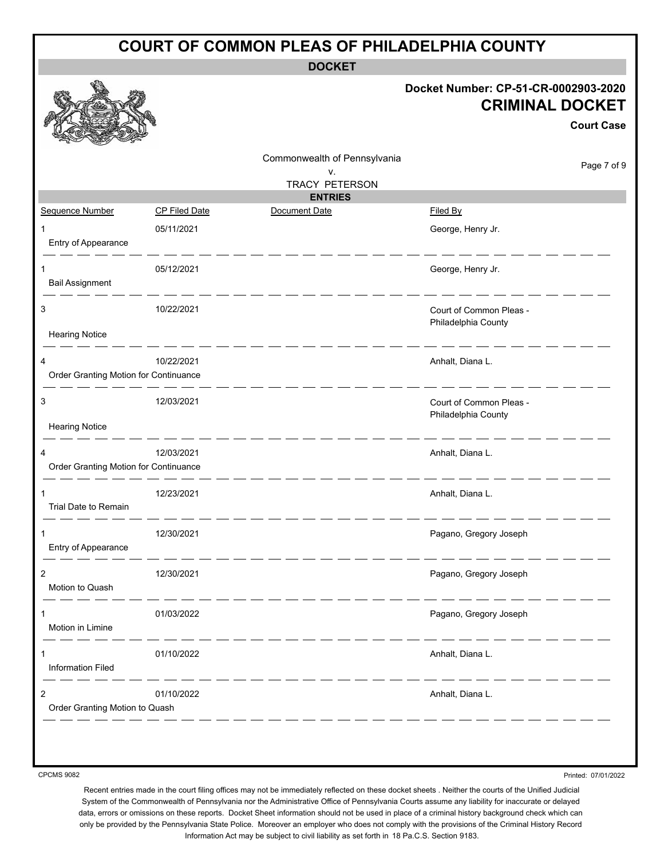|                                              |                      | <b>COURT OF COMMON PLEAS OF PHILADELPHIA COUNTY</b>         |                                                                                     |
|----------------------------------------------|----------------------|-------------------------------------------------------------|-------------------------------------------------------------------------------------|
|                                              |                      | <b>DOCKET</b>                                               |                                                                                     |
|                                              |                      |                                                             | Docket Number: CP-51-CR-0002903-2020<br><b>CRIMINAL DOCKET</b><br><b>Court Case</b> |
|                                              |                      | Commonwealth of Pennsylvania<br>v.<br><b>TRACY PETERSON</b> | Page 7 of 9                                                                         |
|                                              |                      | <b>ENTRIES</b>                                              |                                                                                     |
| Sequence Number                              | <b>CP Filed Date</b> | Document Date                                               | Filed By                                                                            |
| 1<br>Entry of Appearance                     | 05/11/2021           |                                                             | George, Henry Jr.                                                                   |
| 1<br><b>Bail Assignment</b>                  | 05/12/2021           |                                                             | George, Henry Jr.                                                                   |
|                                              |                      |                                                             |                                                                                     |
| 3                                            | 10/22/2021           |                                                             | Court of Common Pleas -<br>Philadelphia County                                      |
| <b>Hearing Notice</b>                        |                      |                                                             |                                                                                     |
| 4<br>Order Granting Motion for Continuance   | 10/22/2021           |                                                             | Anhalt, Diana L.                                                                    |
| 3<br><b>Hearing Notice</b>                   | 12/03/2021           |                                                             | Court of Common Pleas -<br>Philadelphia County                                      |
| 4<br>Order Granting Motion for Continuance   | 12/03/2021           |                                                             | Anhalt, Diana L.                                                                    |
| Trial Date to Remain                         | 12/23/2021           |                                                             | Anhalt, Diana L.                                                                    |
| $\mathbf 1$<br>Entry of Appearance           | 12/30/2021           |                                                             | Pagano, Gregory Joseph                                                              |
| $\overline{2}$<br>Motion to Quash            | 12/30/2021           |                                                             | Pagano, Gregory Joseph                                                              |
| 1<br>Motion in Limine                        | 01/03/2022           |                                                             | Pagano, Gregory Joseph                                                              |
| 1<br><b>Information Filed</b>                | 01/10/2022           |                                                             | Anhalt, Diana L.                                                                    |
| $\sqrt{2}$<br>Order Granting Motion to Quash | 01/10/2022           |                                                             | ______<br>Anhalt, Diana L.                                                          |
|                                              |                      |                                                             |                                                                                     |

CPCMS 9082

Printed: 07/01/2022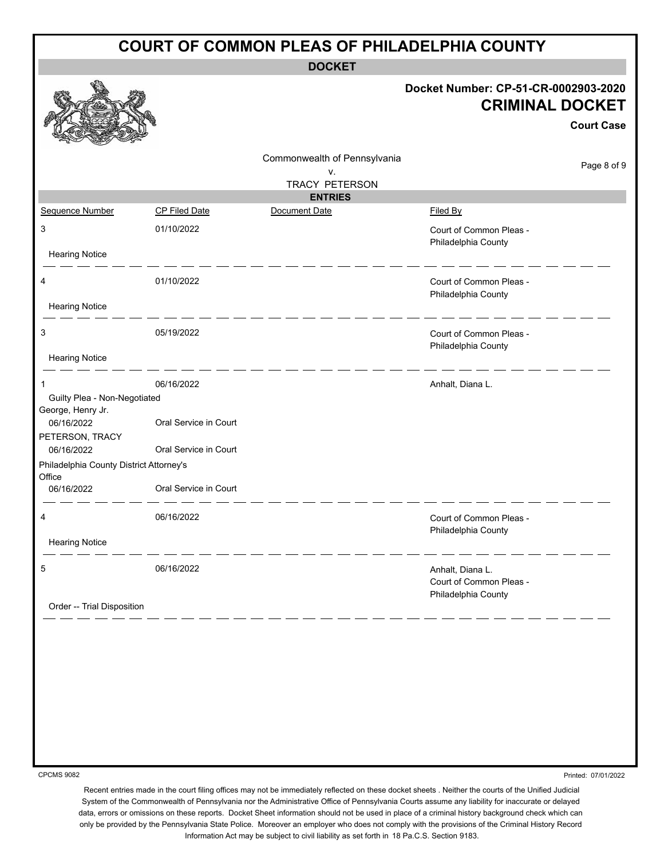| <b>DOCKET</b><br>Docket Number: CP-51-CR-0002903-2020<br><b>CRIMINAL DOCKET</b><br><b>Court Case</b><br>Commonwealth of Pennsylvania<br>Page 8 of 9<br>٧.<br><b>TRACY PETERSON</b><br><b>ENTRIES</b><br>Sequence Number<br><b>CP Filed Date</b><br>Document Date<br>Filed By<br>3<br>01/10/2022<br>Court of Common Pleas -<br>Philadelphia County<br><b>Hearing Notice</b><br>01/10/2022<br>Court of Common Pleas -<br>4<br>Philadelphia County<br><b>Hearing Notice</b><br>05/19/2022<br>3<br>Court of Common Pleas -<br>Philadelphia County<br><b>Hearing Notice</b><br>06/16/2022<br>Anhalt, Diana L.<br>1<br>Guilty Plea - Non-Negotiated<br>George, Henry Jr.<br>Oral Service in Court<br>06/16/2022<br>PETERSON, TRACY<br>Oral Service in Court<br>06/16/2022<br>Philadelphia County District Attorney's<br>Office<br>Oral Service in Court<br>06/16/2022<br>06/16/2022<br>Court of Common Pleas -<br>Philadelphia County<br><b>Hearing Notice</b><br>06/16/2022<br>5<br>Anhalt, Diana L.<br>Court of Common Pleas -<br>Philadelphia County<br>Order -- Trial Disposition | <b>COURT OF COMMON PLEAS OF PHILADELPHIA COUNTY</b> |  |  |  |  |  |
|---------------------------------------------------------------------------------------------------------------------------------------------------------------------------------------------------------------------------------------------------------------------------------------------------------------------------------------------------------------------------------------------------------------------------------------------------------------------------------------------------------------------------------------------------------------------------------------------------------------------------------------------------------------------------------------------------------------------------------------------------------------------------------------------------------------------------------------------------------------------------------------------------------------------------------------------------------------------------------------------------------------------------------------------------------------------------------|-----------------------------------------------------|--|--|--|--|--|
|                                                                                                                                                                                                                                                                                                                                                                                                                                                                                                                                                                                                                                                                                                                                                                                                                                                                                                                                                                                                                                                                                 |                                                     |  |  |  |  |  |
|                                                                                                                                                                                                                                                                                                                                                                                                                                                                                                                                                                                                                                                                                                                                                                                                                                                                                                                                                                                                                                                                                 |                                                     |  |  |  |  |  |
|                                                                                                                                                                                                                                                                                                                                                                                                                                                                                                                                                                                                                                                                                                                                                                                                                                                                                                                                                                                                                                                                                 |                                                     |  |  |  |  |  |
|                                                                                                                                                                                                                                                                                                                                                                                                                                                                                                                                                                                                                                                                                                                                                                                                                                                                                                                                                                                                                                                                                 |                                                     |  |  |  |  |  |
|                                                                                                                                                                                                                                                                                                                                                                                                                                                                                                                                                                                                                                                                                                                                                                                                                                                                                                                                                                                                                                                                                 |                                                     |  |  |  |  |  |
|                                                                                                                                                                                                                                                                                                                                                                                                                                                                                                                                                                                                                                                                                                                                                                                                                                                                                                                                                                                                                                                                                 |                                                     |  |  |  |  |  |
|                                                                                                                                                                                                                                                                                                                                                                                                                                                                                                                                                                                                                                                                                                                                                                                                                                                                                                                                                                                                                                                                                 |                                                     |  |  |  |  |  |
|                                                                                                                                                                                                                                                                                                                                                                                                                                                                                                                                                                                                                                                                                                                                                                                                                                                                                                                                                                                                                                                                                 |                                                     |  |  |  |  |  |
|                                                                                                                                                                                                                                                                                                                                                                                                                                                                                                                                                                                                                                                                                                                                                                                                                                                                                                                                                                                                                                                                                 |                                                     |  |  |  |  |  |
|                                                                                                                                                                                                                                                                                                                                                                                                                                                                                                                                                                                                                                                                                                                                                                                                                                                                                                                                                                                                                                                                                 |                                                     |  |  |  |  |  |
|                                                                                                                                                                                                                                                                                                                                                                                                                                                                                                                                                                                                                                                                                                                                                                                                                                                                                                                                                                                                                                                                                 |                                                     |  |  |  |  |  |
|                                                                                                                                                                                                                                                                                                                                                                                                                                                                                                                                                                                                                                                                                                                                                                                                                                                                                                                                                                                                                                                                                 |                                                     |  |  |  |  |  |
|                                                                                                                                                                                                                                                                                                                                                                                                                                                                                                                                                                                                                                                                                                                                                                                                                                                                                                                                                                                                                                                                                 |                                                     |  |  |  |  |  |
|                                                                                                                                                                                                                                                                                                                                                                                                                                                                                                                                                                                                                                                                                                                                                                                                                                                                                                                                                                                                                                                                                 |                                                     |  |  |  |  |  |
|                                                                                                                                                                                                                                                                                                                                                                                                                                                                                                                                                                                                                                                                                                                                                                                                                                                                                                                                                                                                                                                                                 |                                                     |  |  |  |  |  |
|                                                                                                                                                                                                                                                                                                                                                                                                                                                                                                                                                                                                                                                                                                                                                                                                                                                                                                                                                                                                                                                                                 |                                                     |  |  |  |  |  |
|                                                                                                                                                                                                                                                                                                                                                                                                                                                                                                                                                                                                                                                                                                                                                                                                                                                                                                                                                                                                                                                                                 |                                                     |  |  |  |  |  |
|                                                                                                                                                                                                                                                                                                                                                                                                                                                                                                                                                                                                                                                                                                                                                                                                                                                                                                                                                                                                                                                                                 |                                                     |  |  |  |  |  |
|                                                                                                                                                                                                                                                                                                                                                                                                                                                                                                                                                                                                                                                                                                                                                                                                                                                                                                                                                                                                                                                                                 |                                                     |  |  |  |  |  |
|                                                                                                                                                                                                                                                                                                                                                                                                                                                                                                                                                                                                                                                                                                                                                                                                                                                                                                                                                                                                                                                                                 |                                                     |  |  |  |  |  |

CPCMS 9082

Printed: 07/01/2022